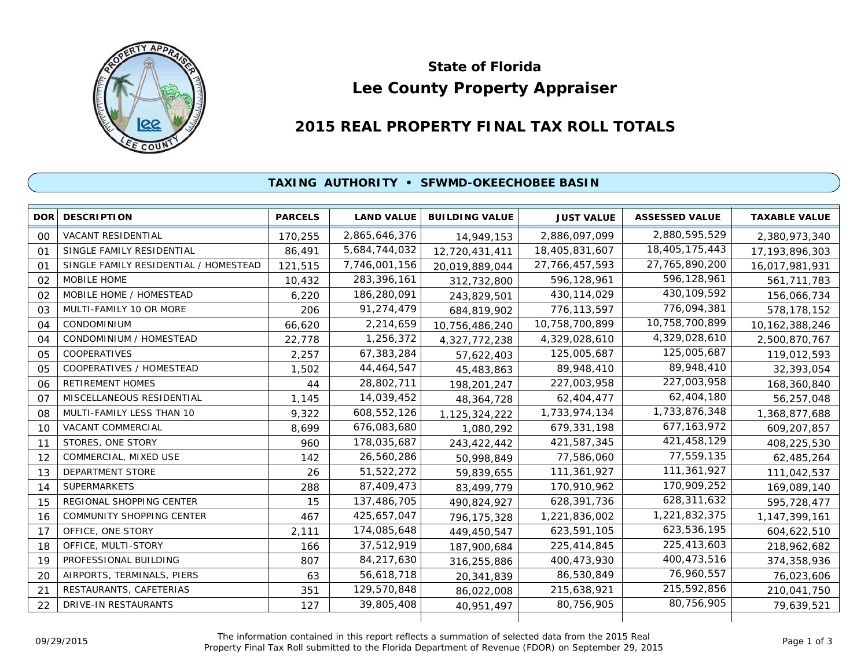

# **Lee County Property Appraiser State of Florida**

## **2015 REAL PROPERTY FINAL TAX ROLL TOTALS**

#### **TAXING AUTHORITY • SFWMD-OKEECHOBEE BASIN**

| <b>DOR</b>     | <b>DESCRIPTION</b>                    | <b>PARCELS</b> | <b>LAND VALUE</b> | <b>BUILDING VALUE</b> | <b>JUST VALUE</b> | <b>ASSESSED VALUE</b> | <b>TAXABLE VALUE</b> |
|----------------|---------------------------------------|----------------|-------------------|-----------------------|-------------------|-----------------------|----------------------|
| 00             | <b>VACANT RESIDENTIAL</b>             | 170,255        | 2,865,646,376     | 14,949,153            | 2,886,097,099     | 2,880,595,529         | 2,380,973,340        |
| 01             | SINGLE FAMILY RESIDENTIAL             | 86,491         | 5,684,744,032     | 12,720,431,411        | 18,405,831,607    | 18,405,175,443        | 17, 193, 896, 303    |
| O <sub>1</sub> | SINGLE FAMILY RESIDENTIAL / HOMESTEAD | 121,515        | 7,746,001,156     | 20,019,889,044        | 27,766,457,593    | 27,765,890,200        | 16,017,981,931       |
| 02             | MOBILE HOME                           | 10,432         | 283,396,161       | 312,732,800           | 596,128,961       | 596,128,961           | 561,711,783          |
| 02             | MOBILE HOME / HOMESTEAD               | 6,220          | 186,280,091       | 243,829,501           | 430, 114, 029     | 430, 109, 592         | 156,066,734          |
| 03             | MULTI-FAMILY 10 OR MORE               | 206            | 91,274,479        | 684,819,902           | 776,113,597       | 776,094,381           | 578,178,152          |
| 04             | CONDOMINIUM                           | 66,620         | 2,214,659         | 10,756,486,240        | 10,758,700,899    | 10,758,700,899        | 10, 162, 388, 246    |
| 04             | CONDOMINIUM / HOMESTEAD               | 22,778         | 1,256,372         | 4,327,772,238         | 4,329,028,610     | 4,329,028,610         | 2,500,870,767        |
| 05             | <b>COOPERATIVES</b>                   | 2,257          | 67,383,284        | 57,622,403            | 125,005,687       | 125,005,687           | 119,012,593          |
| 05             | COOPERATIVES / HOMESTEAD              | 1,502          | 44,464,547        | 45,483,863            | 89,948,410        | 89,948,410            | 32,393,054           |
| 06             | <b>RETIREMENT HOMES</b>               | 44             | 28,802,711        | 198,201,247           | 227,003,958       | 227,003,958           | 168,360,840          |
| 07             | MISCELLANEOUS RESIDENTIAL             | 1,145          | 14,039,452        | 48,364,728            | 62,404,477        | 62,404,180            | 56,257,048           |
| 08             | MULTI-FAMILY LESS THAN 10             | 9,322          | 608,552,126       | 1,125,324,222         | 1,733,974,134     | 1,733,876,348         | 1,368,877,688        |
| 10             | VACANT COMMERCIAL                     | 8,699          | 676,083,680       | 1,080,292             | 679,331,198       | 677, 163, 972         | 609,207,857          |
| 11             | STORES, ONE STORY                     | 960            | 178,035,687       | 243,422,442           | 421,587,345       | 421,458,129           | 408,225,530          |
| 12             | COMMERCIAL, MIXED USE                 | 142            | 26,560,286        | 50,998,849            | 77,586,060        | 77,559,135            | 62,485,264           |
| 13             | <b>DEPARTMENT STORE</b>               | 26             | 51,522,272        | 59,839,655            | 111,361,927       | 111,361,927           | 111,042,537          |
| 14             | <b>SUPERMARKETS</b>                   | 288            | 87,409,473        | 83,499,779            | 170,910,962       | 170,909,252           | 169,089,140          |
| 15             | REGIONAL SHOPPING CENTER              | 15             | 137,486,705       | 490,824,927           | 628,391,736       | 628,311,632           | 595,728,477          |
| 16             | COMMUNITY SHOPPING CENTER             | 467            | 425,657,047       | 796,175,328           | 1,221,836,002     | 1,221,832,375         | 1, 147, 399, 161     |
| 17             | OFFICE, ONE STORY                     | 2,111          | 174,085,648       | 449,450,547           | 623,591,105       | 623,536,195           | 604,622,510          |
| 18             | OFFICE, MULTI-STORY                   | 166            | 37,512,919        | 187,900,684           | 225,414,845       | 225,413,603           | 218,962,682          |
| 19             | PROFESSIONAL BUILDING                 | 807            | 84,217,630        | 316,255,886           | 400,473,930       | 400,473,516           | 374,358,936          |
| 20             | AIRPORTS, TERMINALS, PIERS            | 63             | 56,618,718        | 20,341,839            | 86,530,849        | 76,960,557            | 76,023,606           |
| 21             | RESTAURANTS, CAFETERIAS               | 351            | 129,570,848       | 86,022,008            | 215,638,921       | 215,592,856           | 210,041,750          |
| 22             | DRIVE-IN RESTAURANTS                  | 127            | 39,805,408        | 40,951,497            | 80,756,905        | 80,756,905            | 79,639,521           |
|                |                                       |                |                   |                       |                   |                       |                      |

The information contained in this report reflects a summation of selected data from the 2015 Real Ine information contained in this report reflects a summation of selected data from the 2015 Real<br>Property Final Tax Roll submitted to the Florida Department of Revenue (FDOR) on September 29, 2015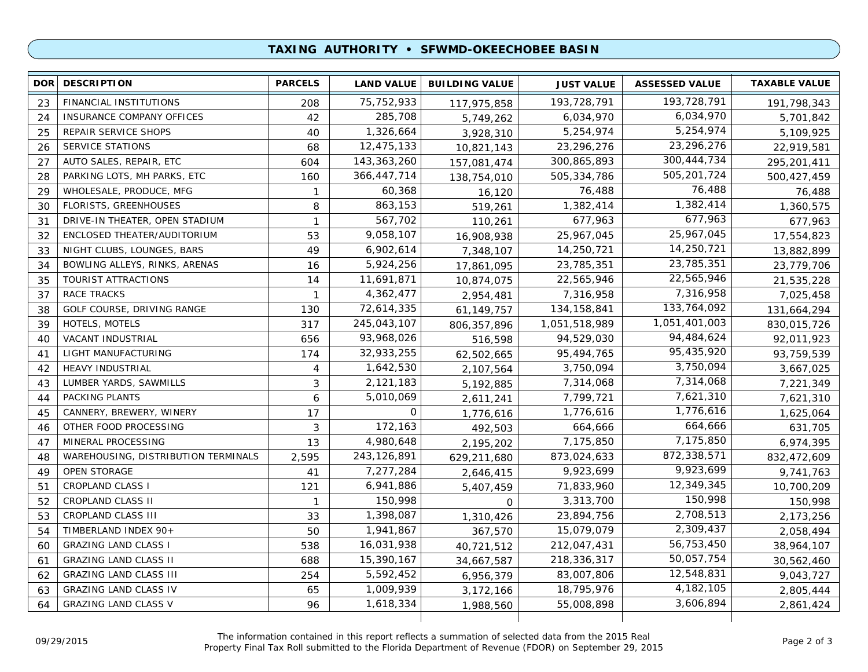#### **TAXING AUTHORITY • SFWMD-OKEECHOBEE BASIN**

| <b>DOR</b> | <b>DESCRIPTION</b>                  | <b>PARCELS</b> | <b>LAND VALUE</b> | <b>BUILDING VALUE</b> | <b>JUST VALUE</b> | <b>ASSESSED VALUE</b> | <b>TAXABLE VALUE</b> |
|------------|-------------------------------------|----------------|-------------------|-----------------------|-------------------|-----------------------|----------------------|
| 23         | FINANCIAL INSTITUTIONS              | 208            | 75, 752, 933      | 117,975,858           | 193,728,791       | 193,728,791           | 191,798,343          |
| 24         | INSURANCE COMPANY OFFICES           | 42             | 285,708           | 5,749,262             | 6,034,970         | 6,034,970             | 5,701,842            |
| 25         | REPAIR SERVICE SHOPS                | 40             | 1,326,664         | 3,928,310             | 5,254,974         | 5,254,974             | 5,109,925            |
| 26         | <b>SERVICE STATIONS</b>             | 68             | 12,475,133        | 10,821,143            | 23,296,276        | 23,296,276            | 22,919,581           |
| 27         | AUTO SALES, REPAIR, ETC             | 604            | 143, 363, 260     | 157,081,474           | 300,865,893       | 300, 444, 734         | 295,201,411          |
| 28         | PARKING LOTS, MH PARKS, ETC         | 160            | 366,447,714       | 138,754,010           | 505,334,786       | 505,201,724           | 500,427,459          |
| 29         | WHOLESALE, PRODUCE, MFG             | $\mathbf{1}$   | 60,368            | 16,120                | 76,488            | 76,488                | 76,488               |
| 30         | FLORISTS, GREENHOUSES               | 8              | 863,153           | 519,261               | 1,382,414         | 1,382,414             | 1,360,575            |
| 31         | DRIVE-IN THEATER, OPEN STADIUM      | 1              | 567,702           | 110,261               | 677,963           | 677,963               | 677,963              |
| 32         | ENCLOSED THEATER/AUDITORIUM         | 53             | 9,058,107         | 16,908,938            | 25,967,045        | 25,967,045            | 17,554,823           |
| 33         | NIGHT CLUBS, LOUNGES, BARS          | 49             | 6,902,614         | 7,348,107             | 14,250,721        | 14,250,721            | 13,882,899           |
| 34         | BOWLING ALLEYS, RINKS, ARENAS       | 16             | 5,924,256         | 17,861,095            | 23,785,351        | 23,785,351            | 23,779,706           |
| 35         | TOURIST ATTRACTIONS                 | 14             | 11,691,871        | 10,874,075            | 22,565,946        | 22,565,946            | 21,535,228           |
| 37         | <b>RACE TRACKS</b>                  | $\mathbf{1}$   | 4,362,477         | 2,954,481             | 7,316,958         | 7,316,958             | 7,025,458            |
| 38         | GOLF COURSE, DRIVING RANGE          | 130            | 72,614,335        | 61,149,757            | 134, 158, 841     | 133,764,092           | 131,664,294          |
| 39         | HOTELS, MOTELS                      | 317            | 245,043,107       | 806, 357, 896         | 1,051,518,989     | 1,051,401,003         | 830,015,726          |
| 40         | VACANT INDUSTRIAL                   | 656            | 93,968,026        | 516,598               | 94,529,030        | 94,484,624            | 92,011,923           |
| 41         | LIGHT MANUFACTURING                 | 174            | 32,933,255        | 62,502,665            | 95,494,765        | 95,435,920            | 93,759,539           |
| 42         | <b>HEAVY INDUSTRIAL</b>             | 4              | 1,642,530         | 2,107,564             | 3,750,094         | 3,750,094             | 3,667,025            |
| 43         | LUMBER YARDS, SAWMILLS              | 3              | 2,121,183         | 5,192,885             | 7,314,068         | 7,314,068             | 7,221,349            |
| 44         | PACKING PLANTS                      | 6              | 5,010,069         | 2,611,241             | 7,799,721         | 7,621,310             | 7,621,310            |
| 45         | CANNERY, BREWERY, WINERY            | 17             | $\mathbf 0$       | 1,776,616             | 1,776,616         | 1,776,616             | 1,625,064            |
| 46         | OTHER FOOD PROCESSING               | 3              | 172,163           | 492,503               | 664,666           | 664,666               | 631,705              |
| 47         | MINERAL PROCESSING                  | 13             | 4,980,648         | 2,195,202             | 7,175,850         | 7,175,850             | 6,974,395            |
| 48         | WAREHOUSING, DISTRIBUTION TERMINALS | 2,595          | 243,126,891       | 629,211,680           | 873,024,633       | 872,338,571           | 832,472,609          |
| 49         | <b>OPEN STORAGE</b>                 | 41             | 7,277,284         | 2,646,415             | 9,923,699         | 9,923,699             | 9,741,763            |
| 51         | <b>CROPLAND CLASS I</b>             | 121            | 6,941,886         | 5,407,459             | 71,833,960        | 12,349,345            | 10,700,209           |
| 52         | CROPLAND CLASS II                   | $\mathbf{1}$   | 150,998           | $\Omega$              | 3,313,700         | 150,998               | 150,998              |
| 53         | CROPLAND CLASS III                  | 33             | 1,398,087         | 1,310,426             | 23,894,756        | 2,708,513             | 2,173,256            |
| 54         | TIMBERLAND INDEX 90+                | 50             | 1,941,867         | 367,570               | 15,079,079        | 2,309,437             | 2,058,494            |
| 60         | <b>GRAZING LAND CLASS I</b>         | 538            | 16,031,938        | 40,721,512            | 212,047,431       | 56,753,450            | 38,964,107           |
| 61         | <b>GRAZING LAND CLASS II</b>        | 688            | 15,390,167        | 34,667,587            | 218,336,317       | 50,057,754            | 30,562,460           |
| 62         | <b>GRAZING LAND CLASS III</b>       | 254            | 5,592,452         | 6,956,379             | 83,007,806        | 12,548,831            | 9,043,727            |
| 63         | <b>GRAZING LAND CLASS IV</b>        | 65             | 1,009,939         | 3,172,166             | 18,795,976        | 4, 182, 105           | 2,805,444            |
| 64         | <b>GRAZING LAND CLASS V</b>         | 96             | 1,618,334         | 1,988,560             | 55,008,898        | 3,606,894             | 2,861,424            |
|            |                                     |                |                   |                       |                   |                       |                      |

The information contained in this report reflects a summation of selected data from the 2015 Real Property Final Tax Roll submitted to the Florida Department of Revenue (FDOR) on September 29, 2015 09/29/2015 Page 2 of 3